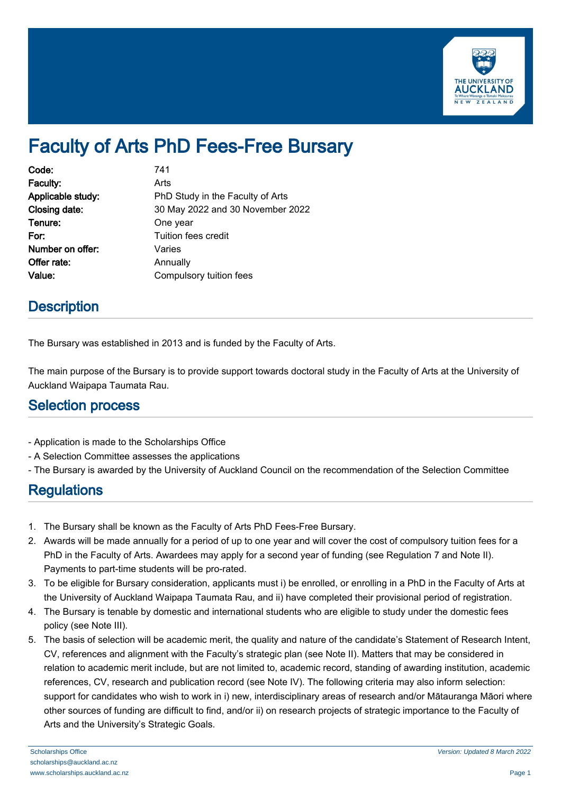

# Faculty of Arts PhD Fees-Free Bursary

| Code:             | 741                              |
|-------------------|----------------------------------|
| Faculty:          | Arts                             |
| Applicable study: | PhD Study in the Faculty of Arts |
| Closing date:     | 30 May 2022 and 30 November 2022 |
| Tenure:           | One year                         |
| For:              | Tuition fees credit              |
| Number on offer:  | Varies                           |
| Offer rate:       | Annually                         |
| Value:            | Compulsory tuition fees          |

## **Description**

The Bursary was established in 2013 and is funded by the Faculty of Arts.

The main purpose of the Bursary is to provide support towards doctoral study in the Faculty of Arts at the University of Auckland Waipapa Taumata Rau.

#### Selection process

- Application is made to the Scholarships Office
- A Selection Committee assesses the applications
- The Bursary is awarded by the University of Auckland Council on the recommendation of the Selection Committee

## **Regulations**

- 1. The Bursary shall be known as the Faculty of Arts PhD Fees-Free Bursary.
- 2. Awards will be made annually for a period of up to one year and will cover the cost of compulsory tuition fees for a PhD in the Faculty of Arts. Awardees may apply for a second year of funding (see Regulation 7 and Note II). Payments to part-time students will be pro-rated.
- 3. To be eligible for Bursary consideration, applicants must i) be enrolled, or enrolling in a PhD in the Faculty of Arts at the University of Auckland Waipapa Taumata Rau, and ii) have completed their provisional period of registration.
- 4. The Bursary is tenable by domestic and international students who are eligible to study under the domestic fees policy (see Note III).
- 5. The basis of selection will be academic merit, the quality and nature of the candidate's Statement of Research Intent, CV, references and alignment with the Faculty's strategic plan (see Note II). Matters that may be considered in relation to academic merit include, but are not limited to, academic record, standing of awarding institution, academic references, CV, research and publication record (see Note IV). The following criteria may also inform selection: support for candidates who wish to work in i) new, interdisciplinary areas of research and/or Mātauranga Māori where other sources of funding are difficult to find, and/or ii) on research projects of strategic importance to the Faculty of Arts and the University's Strategic Goals.